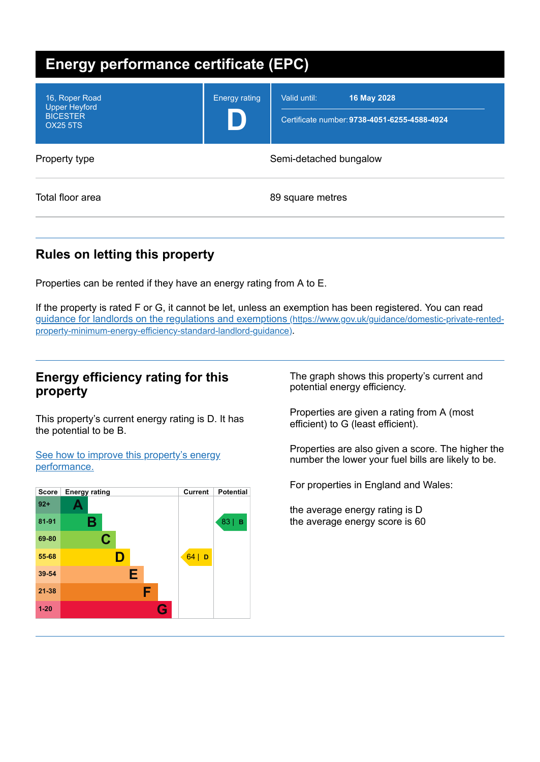| <b>Energy performance certificate (EPC)</b>                                  |                        |                                                                             |  |
|------------------------------------------------------------------------------|------------------------|-----------------------------------------------------------------------------|--|
| 16, Roper Road<br><b>Upper Heyford</b><br><b>BICESTER</b><br><b>OX25 5TS</b> | <b>Energy rating</b>   | Valid until:<br>16 May 2028<br>Certificate number: 9738-4051-6255-4588-4924 |  |
| Property type                                                                | Semi-detached bungalow |                                                                             |  |
| Total floor area                                                             | 89 square metres       |                                                                             |  |

# **Rules on letting this property**

Properties can be rented if they have an energy rating from A to E.

If the property is rated F or G, it cannot be let, unless an exemption has been registered. You can read guidance for landlords on the regulations and exemptions (https://www.gov.uk/guidance/domestic-private-rented[property-minimum-energy-efficiency-standard-landlord-guidance\)](https://www.gov.uk/guidance/domestic-private-rented-property-minimum-energy-efficiency-standard-landlord-guidance).

## **Energy efficiency rating for this property**

This property's current energy rating is D. It has the potential to be B.

See how to improve this property's energy [performance.](#page-2-0)



The graph shows this property's current and potential energy efficiency.

Properties are given a rating from A (most efficient) to G (least efficient).

Properties are also given a score. The higher the number the lower your fuel bills are likely to be.

For properties in England and Wales:

the average energy rating is D the average energy score is 60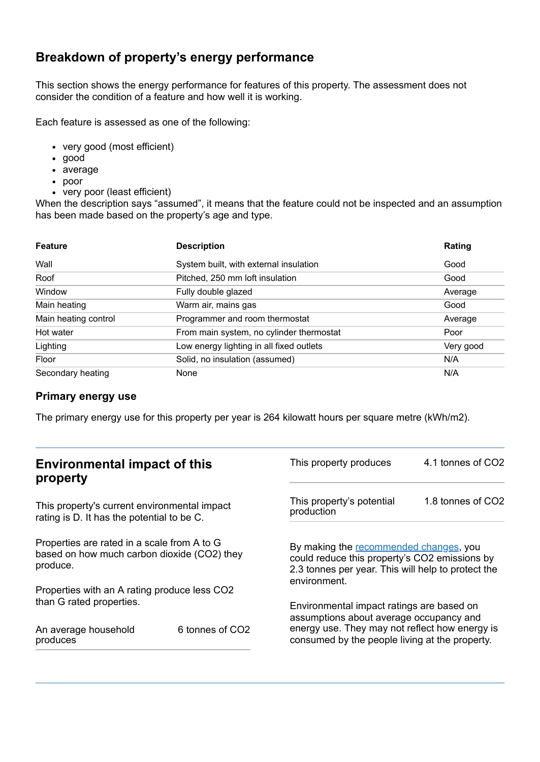## **Breakdown of property's energy performance**

This section shows the energy performance for features of this property. The assessment does not consider the condition of a feature and how well it is working.

Each feature is assessed as one of the following:

- very good (most efficient)
- good
- average
- poor
- very poor (least efficient)

When the description says "assumed", it means that the feature could not be inspected and an assumption has been made based on the property's age and type.

| <b>Feature</b>       | <b>Description</b>                       | Rating    |
|----------------------|------------------------------------------|-----------|
| Wall                 | System built, with external insulation   | Good      |
| Roof                 | Pitched, 250 mm loft insulation          | Good      |
| Window               | Fully double glazed                      | Average   |
| Main heating         | Warm air, mains gas                      | Good      |
| Main heating control | Programmer and room thermostat           | Average   |
| Hot water            | From main system, no cylinder thermostat | Poor      |
| Lighting             | Low energy lighting in all fixed outlets | Very good |
| Floor                | Solid, no insulation (assumed)           | N/A       |
| Secondary heating    | None                                     | N/A       |

### **Primary energy use**

The primary energy use for this property per year is 264 kilowatt hours per square metre (kWh/m2).

| <b>Environmental impact of this</b><br>property                                                        |                             | This property produces                                                                                                                                        | 4.1 tonnes of CO2 |
|--------------------------------------------------------------------------------------------------------|-----------------------------|---------------------------------------------------------------------------------------------------------------------------------------------------------------|-------------------|
| This property's current environmental impact<br>rating is D. It has the potential to be C.             |                             | This property's potential<br>production                                                                                                                       | 1.8 tonnes of CO2 |
| Properties are rated in a scale from A to G<br>based on how much carbon dioxide (CO2) they<br>produce. |                             | By making the recommended changes, you<br>could reduce this property's CO2 emissions by<br>2.3 tonnes per year. This will help to protect the<br>environment. |                   |
| Properties with an A rating produce less CO2                                                           |                             |                                                                                                                                                               |                   |
| than G rated properties.<br>An average household                                                       | 6 tonnes of CO <sub>2</sub> | Environmental impact ratings are based on<br>assumptions about average occupancy and<br>energy use. They may not reflect how energy is                        |                   |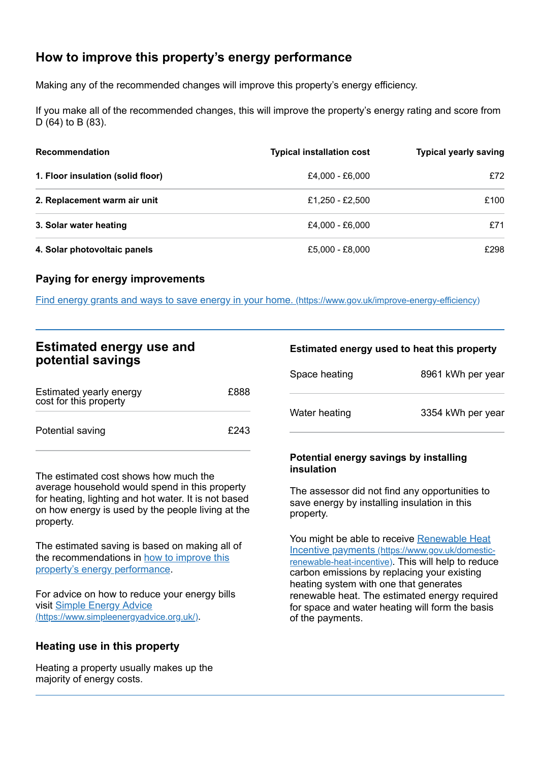## <span id="page-2-0"></span>**How to improve this property's energy performance**

Making any of the recommended changes will improve this property's energy efficiency.

If you make all of the recommended changes, this will improve the property's energy rating and score from D (64) to B (83).

| <b>Recommendation</b>             | <b>Typical installation cost</b> | <b>Typical yearly saving</b> |
|-----------------------------------|----------------------------------|------------------------------|
| 1. Floor insulation (solid floor) | £4,000 - £6,000                  | £72                          |
| 2. Replacement warm air unit      | £1.250 - £2.500                  | £100                         |
| 3. Solar water heating            | £4,000 - £6,000                  | £71                          |
| 4. Solar photovoltaic panels      | £5,000 - £8,000                  | £298                         |

### **Paying for energy improvements**

Find energy grants and ways to save energy in your home. [\(https://www.gov.uk/improve-energy-efficiency\)](https://www.gov.uk/improve-energy-efficiency)

| <b>Estimated energy use and</b> |  |  |
|---------------------------------|--|--|
| potential savings               |  |  |

| Estimated yearly energy<br>cost for this property | £888 |
|---------------------------------------------------|------|
| Potential saving                                  | £243 |

The estimated cost shows how much the average household would spend in this property for heating, lighting and hot water. It is not based on how energy is used by the people living at the property.

The estimated saving is based on making all of the [recommendations](#page-2-0) in how to improve this property's energy performance.

For advice on how to reduce your energy bills visit Simple Energy Advice [\(https://www.simpleenergyadvice.org.uk/\)](https://www.simpleenergyadvice.org.uk/).

### **Heating use in this property**

Heating a property usually makes up the majority of energy costs.

#### **Estimated energy used to heat this property**

| Space heating | 8961 kWh per year |
|---------------|-------------------|
| Water heating | 3354 kWh per year |

#### **Potential energy savings by installing insulation**

The assessor did not find any opportunities to save energy by installing insulation in this property.

You might be able to receive Renewable Heat Incentive payments [\(https://www.gov.uk/domestic](https://www.gov.uk/domestic-renewable-heat-incentive)renewable-heat-incentive). This will help to reduce carbon emissions by replacing your existing heating system with one that generates renewable heat. The estimated energy required for space and water heating will form the basis of the payments.